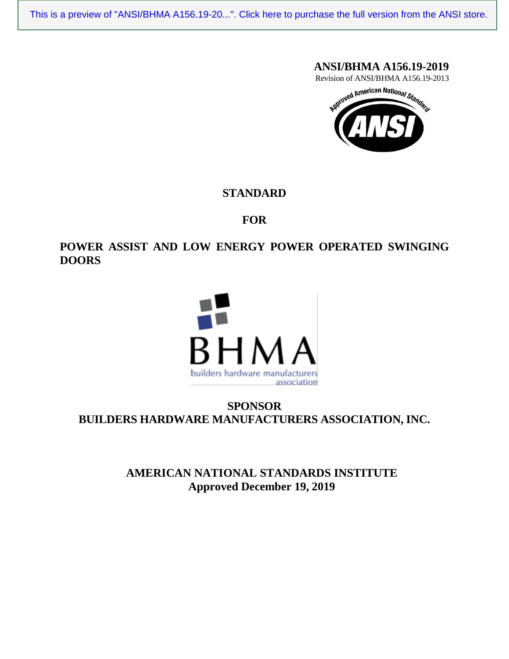## **ANSI/BHMA A156.19-2019**

Revision of ANSI/BHMA A156.19-2013



## **STANDARD**

## **FOR**

## **POWER ASSIST AND LOW ENERGY POWER OPERATED SWINGING DOORS**



# **SPONSOR BUILDERS HARDWARE MANUFACTURERS ASSOCIATION, INC.**

**AMERICAN NATIONAL STANDARDS INSTITUTE Approved December 19, 2019**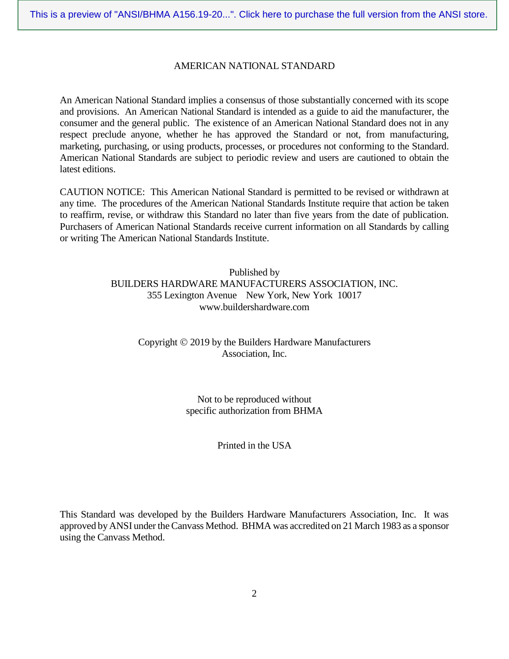#### AMERICAN NATIONAL STANDARD

An American National Standard implies a consensus of those substantially concerned with its scope and provisions. An American National Standard is intended as a guide to aid the manufacturer, the consumer and the general public. The existence of an American National Standard does not in any respect preclude anyone, whether he has approved the Standard or not, from manufacturing, marketing, purchasing, or using products, processes, or procedures not conforming to the Standard. American National Standards are subject to periodic review and users are cautioned to obtain the latest editions.

CAUTION NOTICE: This American National Standard is permitted to be revised or withdrawn at any time. The procedures of the American National Standards Institute require that action be taken to reaffirm, revise, or withdraw this Standard no later than five years from the date of publication. Purchasers of American National Standards receive current information on all Standards by calling or writing The American National Standards Institute.

#### Published by BUILDERS HARDWARE MANUFACTURERS ASSOCIATION, INC. 355 Lexington Avenue New York, New York 10017 www.buildershardware.com

#### Copyright  $\odot$  2019 by the Builders Hardware Manufacturers Association, Inc.

Not to be reproduced without specific authorization from BHMA

Printed in the USA

This Standard was developed by the Builders Hardware Manufacturers Association, Inc. It was approved by ANSI under the Canvass Method. BHMA was accredited on 21 March 1983 as a sponsor using the Canvass Method.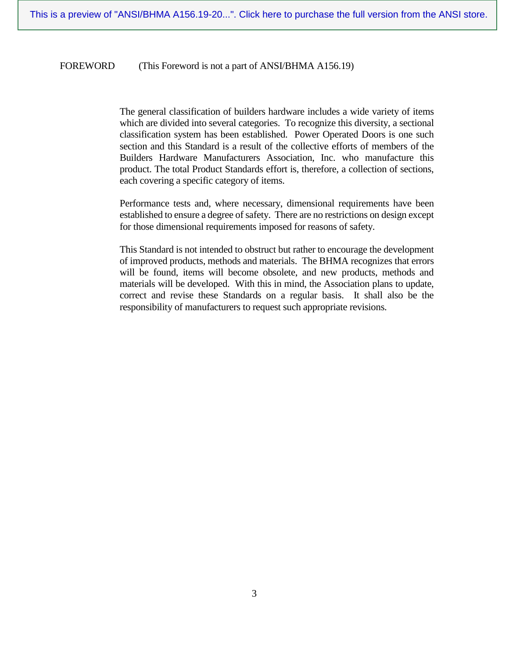#### FOREWORD (This Foreword is not a part of ANSI/BHMA A156.19)

The general classification of builders hardware includes a wide variety of items which are divided into several categories. To recognize this diversity, a sectional classification system has been established. Power Operated Doors is one such section and this Standard is a result of the collective efforts of members of the Builders Hardware Manufacturers Association, Inc. who manufacture this product. The total Product Standards effort is, therefore, a collection of sections, each covering a specific category of items.

Performance tests and, where necessary, dimensional requirements have been established to ensure a degree of safety. There are no restrictions on design except for those dimensional requirements imposed for reasons of safety.

This Standard is not intended to obstruct but rather to encourage the development of improved products, methods and materials. The BHMA recognizes that errors will be found, items will become obsolete, and new products, methods and materials will be developed. With this in mind, the Association plans to update, correct and revise these Standards on a regular basis. It shall also be the responsibility of manufacturers to request such appropriate revisions.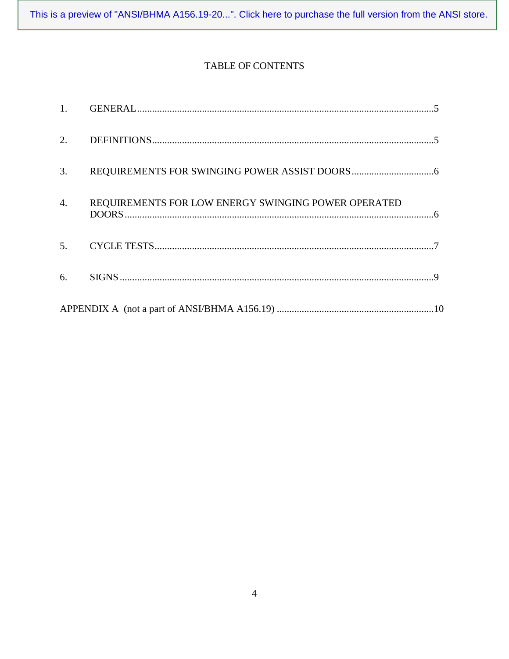# TABLE OF CONTENTS

| 1.               |                                                     |
|------------------|-----------------------------------------------------|
| 2.               |                                                     |
| 3.               |                                                     |
| $\overline{4}$ . | REQUIREMENTS FOR LOW ENERGY SWINGING POWER OPERATED |
| 5.               |                                                     |
| 6.               |                                                     |
|                  |                                                     |